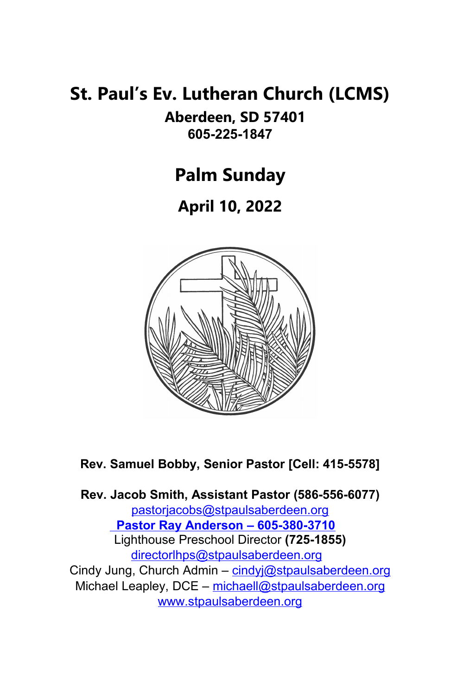# **St. Paul's Ev. Lutheran Church (LCMS)**

**Aberdeen, SD 57401 605-225-1847**

**Palm Sunday**

**April 10, 2022**



**Rev. Samuel Bobby, Senior Pastor [Cell: 415-5578]**

**Rev. Jacob Smith, Assistant Pastor (586-556-6077)** [pastorjacobs@stpaulsaberdeen.org](mailto:pastorjacobs@stpaulsaberdeen.org)  **Pastor Ray Anderson – 605-380-3710** Lighthouse Preschool Director **(725-1855)** [directorlhps@stpaulsaberdeen.org](mailto:directorlhps@stpaulsaberdeen.org)  Cindy Jung, Church Admin - [cindyj@stpaulsaberdeen.org](mailto:cindyj@stpaulsaberdeen.org) Michael Leapley, DCE - [michaell@stpaulsaberdeen.org](mailto:michaell@stpaulsaberdeen.org) [www.stpaulsaberdeen.org](http://www.stpaulsaberdeen.org/)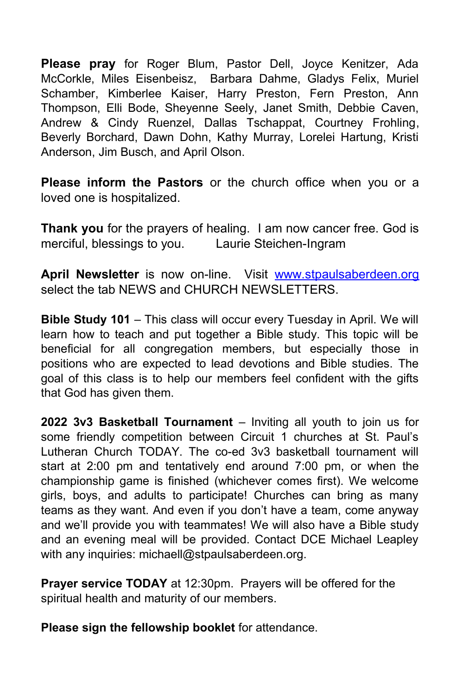**Please pray** for Roger Blum, Pastor Dell, Joyce Kenitzer, Ada McCorkle, Miles Eisenbeisz, Barbara Dahme, Gladys Felix, Muriel Schamber, Kimberlee Kaiser, Harry Preston, Fern Preston, Ann Thompson, Elli Bode, Sheyenne Seely, Janet Smith, Debbie Caven, Andrew & Cindy Ruenzel, Dallas Tschappat, Courtney Frohling, Beverly Borchard, Dawn Dohn, Kathy Murray, Lorelei Hartung, Kristi Anderson, Jim Busch, and April Olson.

**Please inform the Pastors** or the church office when you or a loved one is hospitalized.

**Thank you** for the prayers of healing. I am now cancer free. God is merciful, blessings to you. Laurie Steichen-Ingram

April Newsletter is now on-line. Visit [www.stpaulsaberdeen.org](http://www.stpaulsaberdeen.org/) select the tab NEWS and CHURCH NEWSLETTERS.

**Bible Study 101** – This class will occur every Tuesday in April. We will learn how to teach and put together a Bible study. This topic will be beneficial for all congregation members, but especially those in positions who are expected to lead devotions and Bible studies. The goal of this class is to help our members feel confident with the gifts that God has given them.

**2022 3v3 Basketball Tournament** – Inviting all youth to join us for some friendly competition between Circuit 1 churches at St. Paul's Lutheran Church TODAY. The co-ed 3v3 basketball tournament will start at 2:00 pm and tentatively end around 7:00 pm, or when the championship game is finished (whichever comes first). We welcome girls, boys, and adults to participate! Churches can bring as many teams as they want. And even if you don't have a team, come anyway and we'll provide you with teammates! We will also have a Bible study and an evening meal will be provided. Contact DCE Michael Leapley with any inquiries: michaell@stpaulsaberdeen.org.

**Prayer service TODAY** at 12:30pm. Prayers will be offered for the spiritual health and maturity of our members.

**Please sign the fellowship booklet** for attendance.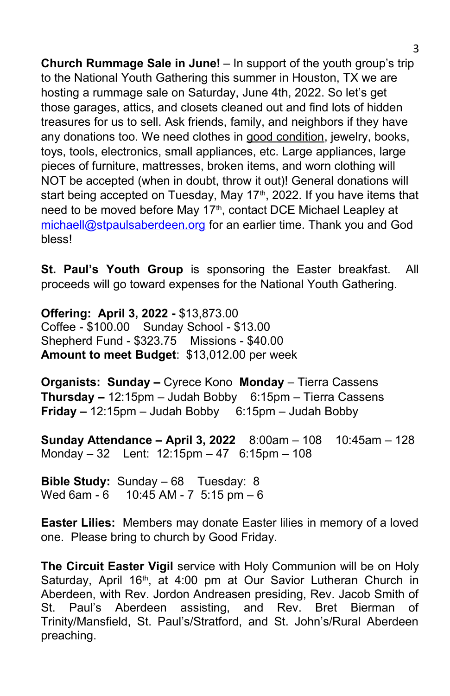**Church Rummage Sale in June!** – In support of the youth group's trip to the National Youth Gathering this summer in Houston, TX we are hosting a rummage sale on Saturday, June 4th, 2022. So let's get those garages, attics, and closets cleaned out and find lots of hidden treasures for us to sell. Ask friends, family, and neighbors if they have any donations too. We need clothes in good condition, jewelry, books, toys, tools, electronics, small appliances, etc. Large appliances, large pieces of furniture, mattresses, broken items, and worn clothing will NOT be accepted (when in doubt, throw it out)! General donations will start being accepted on Tuesday, May 17<sup>th</sup>, 2022. If you have items that need to be moved before May 17<sup>th</sup>, contact DCE Michael Leapley at [michaell@stpaulsaberdeen.org](mailto:michaell@stpaulsaberdeen.org) for an earlier time. Thank you and God bless!

**St. Paul's Youth Group** is sponsoring the Easter breakfast. All proceeds will go toward expenses for the National Youth Gathering.

**Offering: April 3, 2022 -** \$13,873.00 Coffee - \$100.00 Sunday School - \$13.00 Shepherd Fund - \$323.75 Missions - \$40.00 **Amount to meet Budget**: \$13,012.00 per week

**Organists: Sunday –** Cyrece Kono **Monday** – Tierra Cassens **Thursday –** 12:15pm – Judah Bobby 6:15pm – Tierra Cassens **Friday –** 12:15pm – Judah Bobby 6:15pm – Judah Bobby

**Sunday Attendance – April 3, 2022** 8:00am – 108 10:45am – 128 Monday – 32 Lent: 12:15pm – 47 6:15pm – 108

**Bible Study:** Sunday – 68 Tuesday: 8 Wed 6am - 6 10:45 AM - 7 5:15 pm - 6

**Easter Lilies:** Members may donate Easter lilies in memory of a loved one. Please bring to church by Good Friday.

**The Circuit Easter Vigil** service with Holy Communion will be on Holy Saturday, April 16<sup>th</sup>, at 4:00 pm at Our Savior Lutheran Church in Aberdeen, with Rev. Jordon Andreasen presiding, Rev. Jacob Smith of St. Paul's Aberdeen assisting, and Rev. Bret Bierman of Trinity/Mansfield, St. Paul's/Stratford, and St. John's/Rural Aberdeen preaching.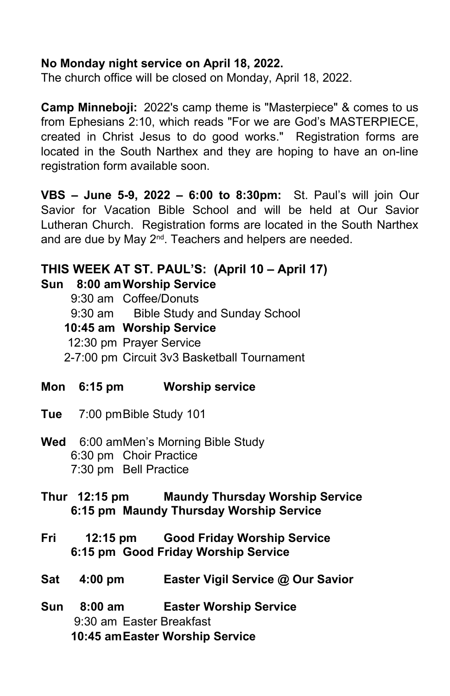#### **No Monday night service on April 18, 2022.**

The church office will be closed on Monday, April 18, 2022.

**Camp Minneboji:** 2022's camp theme is "Masterpiece" & comes to us from Ephesians 2:10, which reads "For we are God's MASTERPIECE, created in Christ Jesus to do good works." Registration forms are located in the South Narthex and they are hoping to have an on-line registration form available soon.

**VBS – June 5-9, 2022 – 6:00 to 8:30pm:** St. Paul's will join Our Savior for Vacation Bible School and will be held at Our Savior Lutheran Church. Registration forms are located in the South Narthex and are due by May 2<sup>nd</sup>. Teachers and helpers are needed.

# **THIS WEEK AT ST. PAUL'S: (April 10 – April 17)**

#### **Sun 8:00 amWorship Service**

| 9:30 am Coffee/Donuts                       |
|---------------------------------------------|
| 9:30 am Bible Study and Sunday School       |
| 10:45 am Worship Service                    |
| 12:30 pm Prayer Service                     |
| 2-7:00 pm Circuit 3v3 Basketball Tournament |

- **Mon 6:15 pm Worship service**
- **Tue** 7:00 pmBible Study 101
- **Wed** 6:00 amMen's Morning Bible Study 6:30 pm Choir Practice 7:30 pm Bell Practice

#### **Thur 12:15 pm Maundy Thursday Worship Service 6:15 pm Maundy Thursday Worship Service**

- **Fri 12:15 pm Good Friday Worship Service 6:15 pm Good Friday Worship Service**
- **Sat 4:00 pm Easter Vigil Service @ Our Savior**
- **Sun 8:00 am Easter Worship Service** 9:30 am Easter Breakfast **10:45 amEaster Worship Service**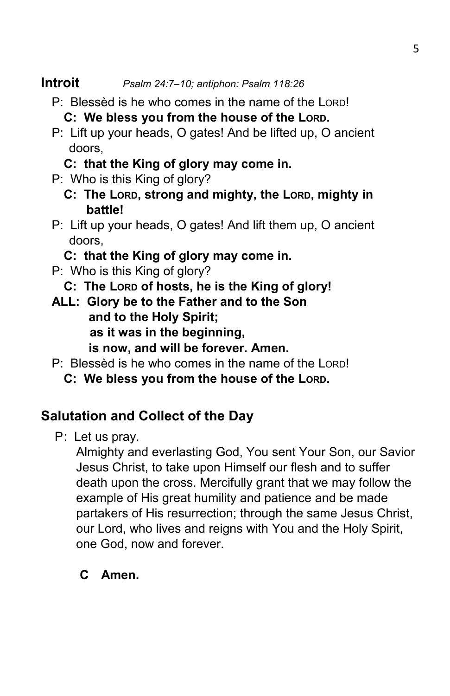- P: Blessèd is he who comes in the name of the LORD! **C: We bless you from the house of the LORD.**
- P: Lift up your heads, O gates! And be lifted up, O ancient doors,
	- **C: that the King of glory may come in.**
- P: Who is this King of glory?
	- **C: The LORD, strong and mighty, the LORD, mighty in battle!**
- P: Lift up your heads, O gates! And lift them up, O ancient doors,
	- **C: that the King of glory may come in.**
- P: Who is this King of glory?
	- **C: The LORD of hosts, he is the King of glory!**
- **ALL: Glory be to the Father and to the Son and to the Holy Spirit; as it was in the beginning, is now, and will be forever. Amen.**
- P: Blessèd is he who comes in the name of the LORD!
	- **C: We bless you from the house of the LORD.**

# **Salutation and Collect of the Day**

P: Let us pray.

Almighty and everlasting God, You sent Your Son, our Savior Jesus Christ, to take upon Himself our flesh and to suffer death upon the cross. Mercifully grant that we may follow the example of His great humility and patience and be made partakers of His resurrection; through the same Jesus Christ, our Lord, who lives and reigns with You and the Holy Spirit, one God, now and forever.

# **C Amen.**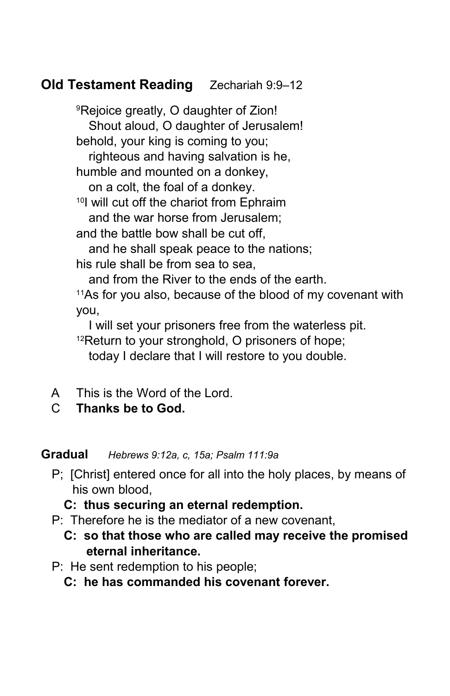# **Old Testament Reading** Zechariah 9:9–12

<sup>9</sup>Rejoice greatly, O daughter of Zion! Shout aloud, O daughter of Jerusalem! behold, your king is coming to you; righteous and having salvation is he, humble and mounted on a donkey, on a colt, the foal of a donkey. <sup>10</sup>I will cut off the chariot from Ephraim and the war horse from Jerusalem; and the battle bow shall be cut off, and he shall speak peace to the nations; his rule shall be from sea to sea, and from the River to the ends of the earth.

<sup>11</sup>As for you also, because of the blood of my covenant with you,

I will set your prisoners free from the waterless pit. <sup>12</sup>Return to your stronghold, O prisoners of hope;

today I declare that I will restore to you double.

- A This is the Word of the Lord.
- C **Thanks be to God.**

**Gradual** *Hebrews 9:12a, c, 15a; Psalm 111:9a*

P; [Christ] entered once for all into the holy places, by means of his own blood,

**C: thus securing an eternal redemption.**

- P: Therefore he is the mediator of a new covenant,
	- **C: so that those who are called may receive the promised eternal inheritance.**
- P: He sent redemption to his people;

**C: he has commanded his covenant forever.**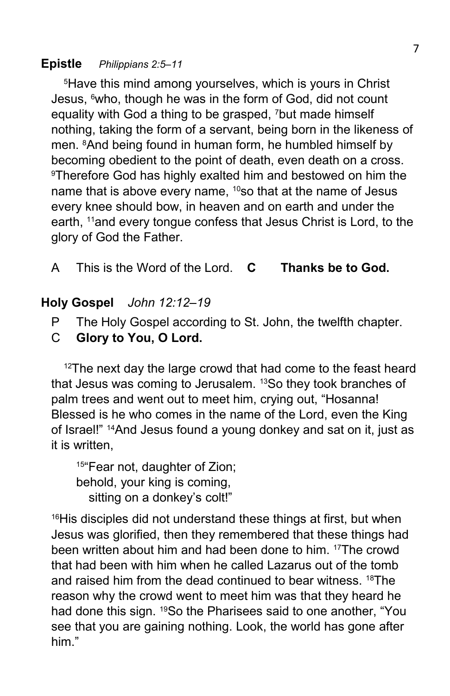## **Epistle** *Philippians 2:5–11*

<sup>5</sup>Have this mind among yourselves, which is yours in Christ Jesus, 6who, though he was in the form of God, did not count equality with God a thing to be grasped, 7but made himself nothing, taking the form of a servant, being born in the likeness of men. <sup>8</sup>And being found in human form, he humbled himself by becoming obedient to the point of death, even death on a cross. <sup>9</sup>Therefore God has highly exalted him and bestowed on him the name that is above every name, <sup>10</sup>so that at the name of Jesus every knee should bow, in heaven and on earth and under the earth, 11and every tongue confess that Jesus Christ is Lord, to the glory of God the Father.

A This is the Word of the Lord. **C Thanks be to God.**

## **Holy Gospel** *John 12:12–19*

- P The Holy Gospel according to St. John, the twelfth chapter.
- C **Glory to You, O Lord.**

<sup>12</sup>The next day the large crowd that had come to the feast heard that Jesus was coming to Jerusalem. 13So they took branches of palm trees and went out to meet him, crying out, "Hosanna! Blessed is he who comes in the name of the Lord, even the King of Israel!" 14And Jesus found a young donkey and sat on it, just as it is written,

15"Fear not, daughter of Zion; behold, your king is coming, sitting on a donkey's colt!"

<sup>16</sup>His disciples did not understand these things at first, but when Jesus was glorified, then they remembered that these things had been written about him and had been done to him. 17The crowd that had been with him when he called Lazarus out of the tomb and raised him from the dead continued to bear witness. 18The reason why the crowd went to meet him was that they heard he had done this sign. <sup>19</sup>So the Pharisees said to one another, "You see that you are gaining nothing. Look, the world has gone after him."